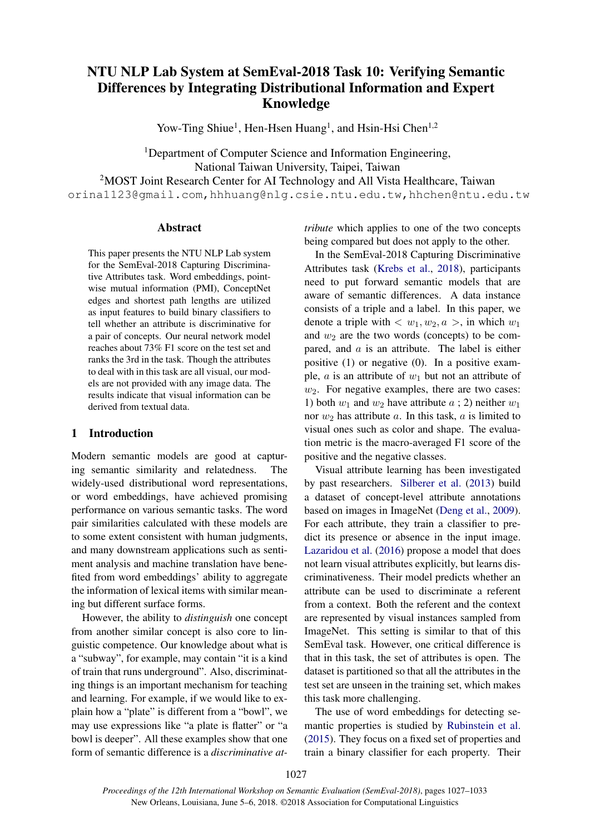# NTU NLP Lab System at SemEval-2018 Task 10: Verifying Semantic Differences by Integrating Distributional Information and Expert Knowledge

Yow-Ting Shiue<sup>1</sup>, Hen-Hsen Huang<sup>1</sup>, and Hsin-Hsi Chen<sup>1,2</sup>

<sup>1</sup>Department of Computer Science and Information Engineering, National Taiwan University, Taipei, Taiwan <sup>2</sup>MOST Joint Research Center for AI Technology and All Vista Healthcare, Taiwan orina1123@gmail.com,hhhuang@nlg.csie.ntu.edu.tw,hhchen@ntu.edu.tw

# Abstract

This paper presents the NTU NLP Lab system for the SemEval-2018 Capturing Discriminative Attributes task. Word embeddings, pointwise mutual information (PMI), ConceptNet edges and shortest path lengths are utilized as input features to build binary classifiers to tell whether an attribute is discriminative for a pair of concepts. Our neural network model reaches about 73% F1 score on the test set and ranks the 3rd in the task. Though the attributes to deal with in this task are all visual, our models are not provided with any image data. The results indicate that visual information can be derived from textual data.

## 1 Introduction

Modern semantic models are good at capturing semantic similarity and relatedness. The widely-used distributional word representations, or word embeddings, have achieved promising performance on various semantic tasks. The word pair similarities calculated with these models are to some extent consistent with human judgments, and many downstream applications such as sentiment analysis and machine translation have benefited from word embeddings' ability to aggregate the information of lexical items with similar meaning but different surface forms.

However, the ability to *distinguish* one concept from another similar concept is also core to linguistic competence. Our knowledge about what is a "subway", for example, may contain "it is a kind of train that runs underground". Also, discriminating things is an important mechanism for teaching and learning. For example, if we would like to explain how a "plate" is different from a "bowl", we may use expressions like "a plate is flatter" or "a bowl is deeper". All these examples show that one form of semantic difference is a *discriminative at-* *tribute* which applies to one of the two concepts being compared but does not apply to the other.

In the SemEval-2018 Capturing Discriminative Attributes task (Krebs et al., 2018), participants need to put forward semantic models that are aware of semantic differences. A data instance consists of a triple and a label. In this paper, we denote a triple with  $\langle w_1, w_2, a \rangle$ , in which  $w_1$ and  $w_2$  are the two words (concepts) to be compared, and  $a$  is an attribute. The label is either positive (1) or negative (0). In a positive example, *a* is an attribute of  $w_1$  but not an attribute of  $w_2$ . For negative examples, there are two cases: 1) both  $w_1$  and  $w_2$  have attribute  $a$ ; 2) neither  $w_1$ nor  $w_2$  has attribute a. In this task, a is limited to visual ones such as color and shape. The evaluation metric is the macro-averaged F1 score of the positive and the negative classes.

Visual attribute learning has been investigated by past researchers. Silberer et al. (2013) build a dataset of concept-level attribute annotations based on images in ImageNet (Deng et al., 2009). For each attribute, they train a classifier to predict its presence or absence in the input image. Lazaridou et al. (2016) propose a model that does not learn visual attributes explicitly, but learns discriminativeness. Their model predicts whether an attribute can be used to discriminate a referent from a context. Both the referent and the context are represented by visual instances sampled from ImageNet. This setting is similar to that of this SemEval task. However, one critical difference is that in this task, the set of attributes is open. The dataset is partitioned so that all the attributes in the test set are unseen in the training set, which makes this task more challenging.

The use of word embeddings for detecting semantic properties is studied by Rubinstein et al. (2015). They focus on a fixed set of properties and train a binary classifier for each property. Their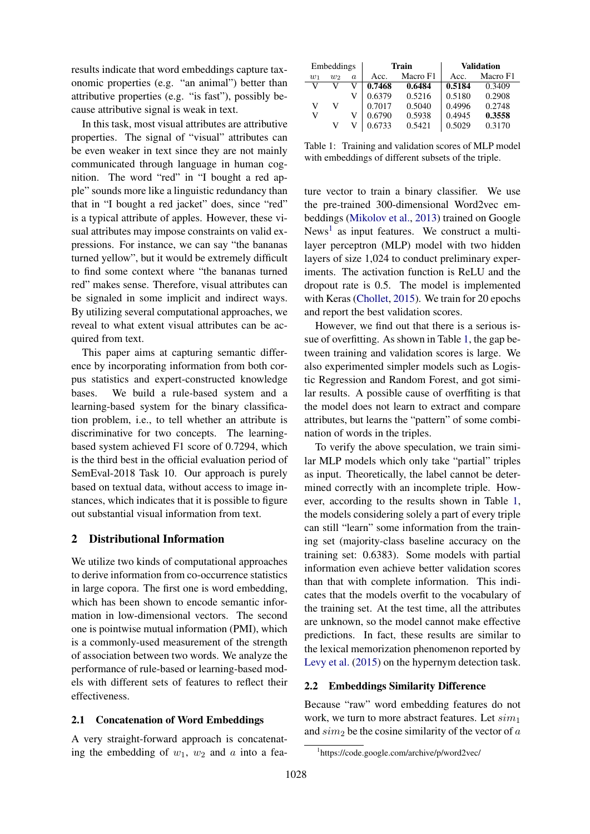results indicate that word embeddings capture taxonomic properties (e.g. "an animal") better than attributive properties (e.g. "is fast"), possibly because attributive signal is weak in text.

In this task, most visual attributes are attributive properties. The signal of "visual" attributes can be even weaker in text since they are not mainly communicated through language in human cognition. The word "red" in "I bought a red apple" sounds more like a linguistic redundancy than that in "I bought a red jacket" does, since "red" is a typical attribute of apples. However, these visual attributes may impose constraints on valid expressions. For instance, we can say "the bananas turned yellow", but it would be extremely difficult to find some context where "the bananas turned red" makes sense. Therefore, visual attributes can be signaled in some implicit and indirect ways. By utilizing several computational approaches, we reveal to what extent visual attributes can be acquired from text.

This paper aims at capturing semantic difference by incorporating information from both corpus statistics and expert-constructed knowledge bases. We build a rule-based system and a learning-based system for the binary classification problem, i.e., to tell whether an attribute is discriminative for two concepts. The learningbased system achieved F1 score of 0.7294, which is the third best in the official evaluation period of SemEval-2018 Task 10. Our approach is purely based on textual data, without access to image instances, which indicates that it is possible to figure out substantial visual information from text.

## 2 Distributional Information

We utilize two kinds of computational approaches to derive information from co-occurrence statistics in large copora. The first one is word embedding, which has been shown to encode semantic information in low-dimensional vectors. The second one is pointwise mutual information (PMI), which is a commonly-used measurement of the strength of association between two words. We analyze the performance of rule-based or learning-based models with different sets of features to reflect their effectiveness.

# 2.1 Concatenation of Word Embeddings

A very straight-forward approach is concatenating the embedding of  $w_1$ ,  $w_2$  and a into a fea-

| Embeddings |       |                  | Train            | <b>Validation</b> |        |          |
|------------|-------|------------------|------------------|-------------------|--------|----------|
| $w_1$      | $w_2$ | $\boldsymbol{a}$ | Macro F1<br>Acc. |                   | Acc.   | Macro F1 |
| V          |       |                  | 0.7468           | 0.6484            | 0.5184 | 0.3409   |
|            |       |                  | 0.6379           | 0.5216            | 0.5180 | 0.2908   |
| V          | V     |                  | 0.7017           | 0.5040            | 0.4996 | 0.2748   |
| V          |       |                  | 0.6790           | 0.5938            | 0.4945 | 0.3558   |
|            | v     |                  | 0.6733           | 0.5421            | 0.5029 | 0.3170   |

Table 1: Training and validation scores of MLP model with embeddings of different subsets of the triple.

ture vector to train a binary classifier. We use the pre-trained 300-dimensional Word2vec embeddings (Mikolov et al., 2013) trained on Google News<sup>1</sup> as input features. We construct a multilayer perceptron (MLP) model with two hidden layers of size 1,024 to conduct preliminary experiments. The activation function is ReLU and the dropout rate is 0.5. The model is implemented with Keras (Chollet, 2015). We train for 20 epochs and report the best validation scores.

However, we find out that there is a serious issue of overfitting. As shown in Table 1, the gap between training and validation scores is large. We also experimented simpler models such as Logistic Regression and Random Forest, and got similar results. A possible cause of overffiting is that the model does not learn to extract and compare attributes, but learns the "pattern" of some combination of words in the triples.

To verify the above speculation, we train similar MLP models which only take "partial" triples as input. Theoretically, the label cannot be determined correctly with an incomplete triple. However, according to the results shown in Table 1, the models considering solely a part of every triple can still "learn" some information from the training set (majority-class baseline accuracy on the training set: 0.6383). Some models with partial information even achieve better validation scores than that with complete information. This indicates that the models overfit to the vocabulary of the training set. At the test time, all the attributes are unknown, so the model cannot make effective predictions. In fact, these results are similar to the lexical memorization phenomenon reported by Levy et al. (2015) on the hypernym detection task.

## 2.2 Embeddings Similarity Difference

Because "raw" word embedding features do not work, we turn to more abstract features. Let  $sim_1$ and  $sim_2$  be the cosine similarity of the vector of  $a$ 

<sup>1</sup> https://code.google.com/archive/p/word2vec/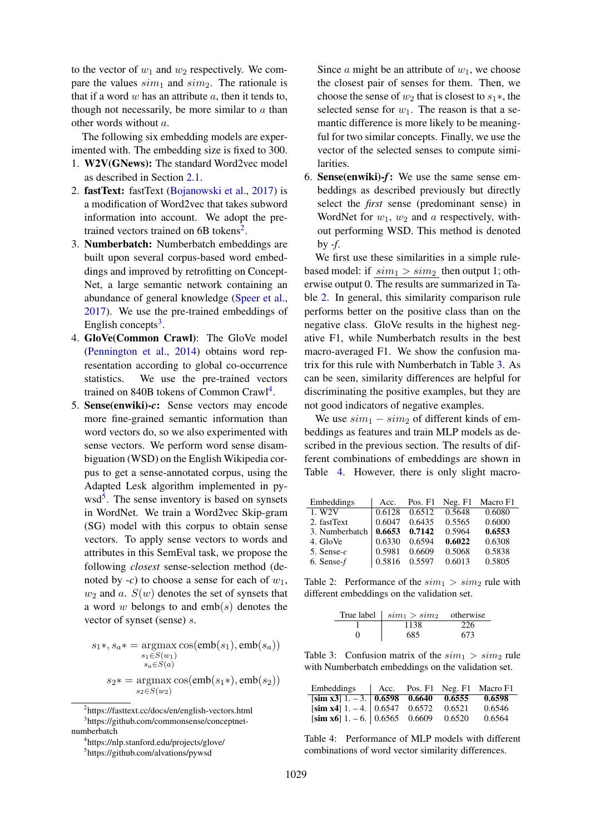to the vector of  $w_1$  and  $w_2$  respectively. We compare the values  $sim_1$  and  $sim_2$ . The rationale is that if a word  $w$  has an attribute  $a$ , then it tends to, though not necessarily, be more similar to  $\alpha$  than other words without a.

The following six embedding models are experimented with. The embedding size is fixed to 300.

- 1. W2V(GNews): The standard Word2vec model as described in Section 2.1.
- 2. fastText: fastText (Bojanowski et al., 2017) is a modification of Word2vec that takes subword information into account. We adopt the pretrained vectors trained on 6B tokens<sup>2</sup>.
- 3. Numberbatch: Numberbatch embeddings are built upon several corpus-based word embeddings and improved by retrofitting on Concept-Net, a large semantic network containing an abundance of general knowledge (Speer et al., 2017). We use the pre-trained embeddings of English concepts<sup>3</sup>.
- 4. GloVe(Common Crawl): The GloVe model (Pennington et al., 2014) obtains word representation according to global co-occurrence statistics. We use the pre-trained vectors trained on 840B tokens of Common Crawl<sup>4</sup>.
- 5. Sense(enwiki)-*c*: Sense vectors may encode more fine-grained semantic information than word vectors do, so we also experimented with sense vectors. We perform word sense disambiguation (WSD) on the English Wikipedia corpus to get a sense-annotated corpus, using the Adapted Lesk algorithm implemented in pywsd<sup>5</sup>. The sense inventory is based on synsets in WordNet. We train a Word2vec Skip-gram (SG) model with this corpus to obtain sense vectors. To apply sense vectors to words and attributes in this SemEval task, we propose the following *closest* sense-selection method (denoted by  $-c$ ) to choose a sense for each of  $w_1$ ,  $w_2$  and a.  $S(w)$  denotes the set of synsets that a word w belongs to and  $emb(s)$  denotes the vector of synset (sense) s.

$$
s_1*, s_a* = \underset{s_1 \in S(w_1)}{\operatorname{argmax}} \cos(\text{emb}(s_1), \text{emb}(s_a))
$$

$$
s_1 \in S(w_1)
$$

$$
s_a \in S(a)
$$

$$
s_2* = \underset{s_2 \in S(w_2)}{\operatorname{argmax}} \cos(\text{emb}(s_1*), \text{emb}(s_2))
$$

Since  $\alpha$  might be an attribute of  $w_1$ , we choose the closest pair of senses for them. Then, we choose the sense of  $w_2$  that is closest to  $s_1$ <sup>\*</sup>, the selected sense for  $w_1$ . The reason is that a semantic difference is more likely to be meaningful for two similar concepts. Finally, we use the vector of the selected senses to compute similarities.

6. Sense(enwiki)-*f*: We use the same sense embeddings as described previously but directly select the *first* sense (predominant sense) in WordNet for  $w_1$ ,  $w_2$  and a respectively, without performing WSD. This method is denoted by -*f*.

We first use these similarities in a simple rulebased model: if  $sim_1 > sim_2$  then output 1; otherwise output 0. The results are summarized in Table 2. In general, this similarity comparison rule performs better on the positive class than on the negative class. GloVe results in the highest negative F1, while Numberbatch results in the best macro-averaged F1. We show the confusion matrix for this rule with Numberbatch in Table 3. As can be seen, similarity differences are helpful for discriminating the positive examples, but they are not good indicators of negative examples.

We use  $sim_1 - sim_2$  of different kinds of embeddings as features and train MLP models as described in the previous section. The results of different combinations of embeddings are shown in Table 4. However, there is only slight macro-

| Embeddings      | Acc.   | Pos. $F1$ | Neg. F1 | Macro F1 |
|-----------------|--------|-----------|---------|----------|
| 1. W2V          | 0.6128 | 0.6512    | 0.5648  | 0.6080   |
| 2. fastText     | 0.6047 | 0.6435    | 0.5565  | 0.6000   |
| 3. Numberbatch  | 0.6653 | 0.7142    | 0.5964  | 0.6553   |
| 4. GloVe        | 0.6330 | 0.6594    | 0.6022  | 0.6308   |
| 5. Sense- $c$   | 0.5981 | 0.6609    | 0.5068  | 0.5838   |
| $6.$ Sense- $f$ | 0.5816 | 0.5597    | 0.6013  | 0.5805   |

Table 2: Performance of the  $sim_1 > sim_2$  rule with different embeddings on the validation set.

| True label $\mid sim_1 > sim_2$ otherwise |     |
|-------------------------------------------|-----|
| 1138                                      |     |
| 685                                       | 673 |

Table 3: Confusion matrix of the  $sim_1 > sim_2$  rule with Numberbatch embeddings on the validation set.

| Embeddings   Acc.                                   |  |        | Pos. F1 Neg. F1 Macro F1 |
|-----------------------------------------------------|--|--------|--------------------------|
| $\left[\sin x3\right]$ 1. - 3. 0.6598 0.6640 0.6555 |  |        | 0.6598                   |
| [sim x4] 1. – 4. $\vert 0.6547 \, 0.6572 \vert$     |  | 0.6521 | 0.6546                   |
| [sim x6] 1. – 6. $\vert 0.6565 \vert 0.6609 \vert$  |  | 0.6520 | 0.6564                   |

Table 4: Performance of MLP models with different combinations of word vector similarity differences.

<sup>2</sup> https://fasttext.cc/docs/en/english-vectors.html 3 https://github.com/commonsense/conceptnetnumberbatch

<sup>4</sup> https://nlp.stanford.edu/projects/glove/

<sup>5</sup> https://github.com/alvations/pywsd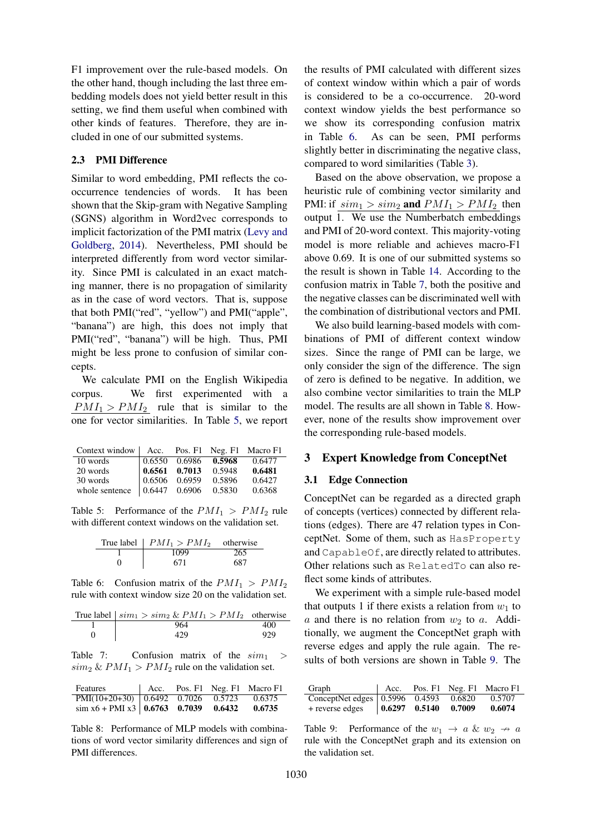F1 improvement over the rule-based models. On the other hand, though including the last three embedding models does not yield better result in this setting, we find them useful when combined with other kinds of features. Therefore, they are included in one of our submitted systems.

# 2.3 PMI Difference

Similar to word embedding, PMI reflects the cooccurrence tendencies of words. It has been shown that the Skip-gram with Negative Sampling (SGNS) algorithm in Word2vec corresponds to implicit factorization of the PMI matrix (Levy and Goldberg, 2014). Nevertheless, PMI should be interpreted differently from word vector similarity. Since PMI is calculated in an exact matching manner, there is no propagation of similarity as in the case of word vectors. That is, suppose that both PMI("red", "yellow") and PMI("apple", "banana") are high, this does not imply that PMI("red", "banana") will be high. Thus, PMI might be less prone to confusion of similar concepts.

We calculate PMI on the English Wikipedia corpus. We first experimented with a  $PMI_1 > PMI_2$  rule that is similar to the one for vector similarities. In Table 5, we report

| Context window   Acc. Pos. F1 Neg. F1 Macro F1 |                                                          |        |        |
|------------------------------------------------|----------------------------------------------------------|--------|--------|
| 10 words                                       | $\vert 0.6550 \quad 0.6986 \quad 0.5968$                 |        | 0.6477 |
| 20 words                                       | $\begin{array}{ l} 0.6561 & 0.7013 & 0.5948 \end{array}$ |        | 0.6481 |
| 30 words                                       | $\begin{array}{ l} 0.6506 & 0.6959 \end{array}$          | 0.5896 | 0.6427 |
| whole sentence                                 | $\begin{array}{ l} 0.6447 & 0.6906 & 0.5830 \end{array}$ |        | 0.6368 |

Table 5: Performance of the  $PMI_1 > PMI_2$  rule with different context windows on the validation set.

| True label $\mid PMI_1 > PMI_2$ otherwise |     |
|-------------------------------------------|-----|
| 1099                                      | 265 |
| 671                                       | 687 |

Table 6: Confusion matrix of the  $PMI_1 > PMI_2$ rule with context window size 20 on the validation set.

| True label $\vert \, sim_1 \rangle \, sim_2 \, \& \, PMI_1 \rangle \, PMI_2$ otherwise |     |
|----------------------------------------------------------------------------------------|-----|
| 964                                                                                    | 400 |
| 429                                                                                    | 929 |

Table 7: Confusion matrix of the  $sim_1$  $\sinh_2 \& PMI_1 > PMI_2$  rule on the validation set.

| Features                                                         |  | $\vert$ Acc. Pos. F1 Neg. F1 Macro F1 |
|------------------------------------------------------------------|--|---------------------------------------|
| PMI(10+20+30)   0.6492  0.7026  0.5723  0.6375                   |  |                                       |
| $\sin x6 + \text{PMI } x3 \mid 0.6763 \quad 0.7039 \quad 0.6432$ |  | 0.6735                                |

Table 8: Performance of MLP models with combinations of word vector similarity differences and sign of PMI differences.

the results of PMI calculated with different sizes of context window within which a pair of words is considered to be a co-occurrence. 20-word context window yields the best performance so we show its corresponding confusion matrix in Table 6. As can be seen, PMI performs slightly better in discriminating the negative class, compared to word similarities (Table 3).

Based on the above observation, we propose a heuristic rule of combining vector similarity and PMI: if  $sim_1 > sim_2$  and  $PMI_1 > PMI_2$  then output 1. We use the Numberbatch embeddings and PMI of 20-word context. This majority-voting model is more reliable and achieves macro-F1 above 0.69. It is one of our submitted systems so the result is shown in Table 14. According to the confusion matrix in Table 7, both the positive and the negative classes can be discriminated well with the combination of distributional vectors and PMI.

We also build learning-based models with combinations of PMI of different context window sizes. Since the range of PMI can be large, we only consider the sign of the difference. The sign of zero is defined to be negative. In addition, we also combine vector similarities to train the MLP model. The results are all shown in Table 8. However, none of the results show improvement over the corresponding rule-based models.

#### 3 Expert Knowledge from ConceptNet

#### 3.1 Edge Connection

ConceptNet can be regarded as a directed graph of concepts (vertices) connected by different relations (edges). There are 47 relation types in ConceptNet. Some of them, such as HasProperty and CapableOf, are directly related to attributes. Other relations such as RelatedTo can also reflect some kinds of attributes.

We experiment with a simple rule-based model that outputs 1 if there exists a relation from  $w_1$  to  $a$  and there is no relation from  $w_2$  to  $a$ . Additionally, we augment the ConceptNet graph with reverse edges and apply the rule again. The results of both versions are shown in Table 9. The

| Graph                                       | Acc. |        | Pos. F1 Neg. F1 Macro F1 |
|---------------------------------------------|------|--------|--------------------------|
| ConceptNet edges 0.5996 0.4593 0.6820       |      |        | 0.5707                   |
| + reverse edges $\big  0.6297 \big  0.5140$ |      | 0.7009 | 0.6074                   |

Table 9: Performance of the  $w_1 \rightarrow a \& w_2 \rightarrow a$ rule with the ConceptNet graph and its extension on the validation set.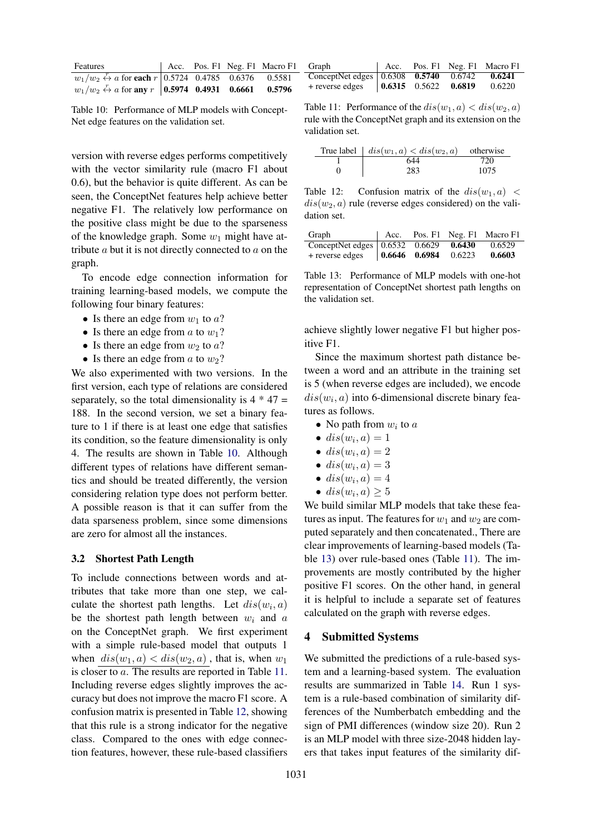| Features                                                                                                  |  | Acc. Pos. F1 Neg. F1 Macro F1 |
|-----------------------------------------------------------------------------------------------------------|--|-------------------------------|
| $w_1/w_2 \stackrel{r}{\leftrightarrow} a$ for each $r \mid 0.5724 \quad 0.4785 \quad 0.6376 \quad 0.5581$ |  |                               |
| $w_1/w_2 \leftrightarrow a$ for any $r \mid 0.5974 \quad 0.4931 \quad 0.6661 \quad 0.5796$                |  |                               |

Table 10: Performance of MLP models with Concept-Net edge features on the validation set.

version with reverse edges performs competitively with the vector similarity rule (macro F1 about 0.6), but the behavior is quite different. As can be seen, the ConceptNet features help achieve better negative F1. The relatively low performance on the positive class might be due to the sparseness of the knowledge graph. Some  $w_1$  might have attribute  $a$  but it is not directly connected to  $a$  on the graph.

To encode edge connection information for training learning-based models, we compute the following four binary features:

- Is there an edge from  $w_1$  to  $a$ ?
- Is there an edge from  $a$  to  $w_1$ ?
- Is there an edge from  $w_2$  to  $a$ ?
- Is there an edge from  $a$  to  $w_2$ ?

We also experimented with two versions. In the first version, each type of relations are considered separately, so the total dimensionality is  $4 * 47 =$ 188. In the second version, we set a binary feature to 1 if there is at least one edge that satisfies its condition, so the feature dimensionality is only 4. The results are shown in Table 10. Although different types of relations have different semantics and should be treated differently, the version considering relation type does not perform better. A possible reason is that it can suffer from the data sparseness problem, since some dimensions are zero for almost all the instances.

### 3.2 Shortest Path Length

To include connections between words and attributes that take more than one step, we calculate the shortest path lengths. Let  $dis(w_i, a)$ be the shortest path length between  $w_i$  and a on the ConceptNet graph. We first experiment with a simple rule-based model that outputs 1 when  $dis(w_1, a) < dis(w_2, a)$ , that is, when  $w_1$ is closer to a. The results are reported in Table 11. Including reverse edges slightly improves the accuracy but does not improve the macro F1 score. A confusion matrix is presented in Table 12, showing that this rule is a strong indicator for the negative class. Compared to the ones with edge connection features, however, these rule-based classifiers

| Graph                                                                      | Acc. |  | Pos. F1 Neg. F1 Macro F1 |
|----------------------------------------------------------------------------|------|--|--------------------------|
| ConceptNet edges 0.6308 0.5740 0.6742                                      |      |  | 0.6241                   |
| $+$ reverse edges $\begin{array}{ l} 0.6315 & 0.5622 & 0.6819 \end{array}$ |      |  | 0.6220                   |

Table 11: Performance of the  $dis(w_1, a) < dis(w_2, a)$ rule with the ConceptNet graph and its extension on the validation set.

| True label $ $ $dis(w_1, a) < dis(w_2, a)$ | otherwise |
|--------------------------------------------|-----------|
| 644                                        | 720       |
| 283                                        | 1075      |

Table 12: Confusion matrix of the  $dis(w_1, a)$  <  $dis(w_2, a)$  rule (reverse edges considered) on the validation set.

| Graph                                                                      | Acc. |  | Pos. F1 Neg. F1 Macro F1 |
|----------------------------------------------------------------------------|------|--|--------------------------|
| ConceptNet edges 0.6532 0.6629 0.6430                                      |      |  | 0.6529                   |
| $+$ reverse edges $\begin{vmatrix} 0.6646 & 0.6984 & 0.6223 \end{vmatrix}$ |      |  | 0.6603                   |

Table 13: Performance of MLP models with one-hot representation of ConceptNet shortest path lengths on the validation set.

achieve slightly lower negative F1 but higher positive F1.

Since the maximum shortest path distance between a word and an attribute in the training set is 5 (when reverse edges are included), we encode  $dis(w_i, a)$  into 6-dimensional discrete binary features as follows.

- No path from  $w_i$  to  $a$
- $dis(w_i, a) = 1$
- $dis(w_i, a) = 2$
- $dis(w_i, a) = 3$
- $dis(w_i, a) = 4$
- $dis(w_i, a) \geq 5$

We build similar MLP models that take these features as input. The features for  $w_1$  and  $w_2$  are computed separately and then concatenated., There are clear improvements of learning-based models (Table 13) over rule-based ones (Table 11). The improvements are mostly contributed by the higher positive F1 scores. On the other hand, in general it is helpful to include a separate set of features calculated on the graph with reverse edges.

# 4 Submitted Systems

We submitted the predictions of a rule-based system and a learning-based system. The evaluation results are summarized in Table 14. Run 1 system is a rule-based combination of similarity differences of the Numberbatch embedding and the sign of PMI differences (window size 20). Run 2 is an MLP model with three size-2048 hidden layers that takes input features of the similarity dif-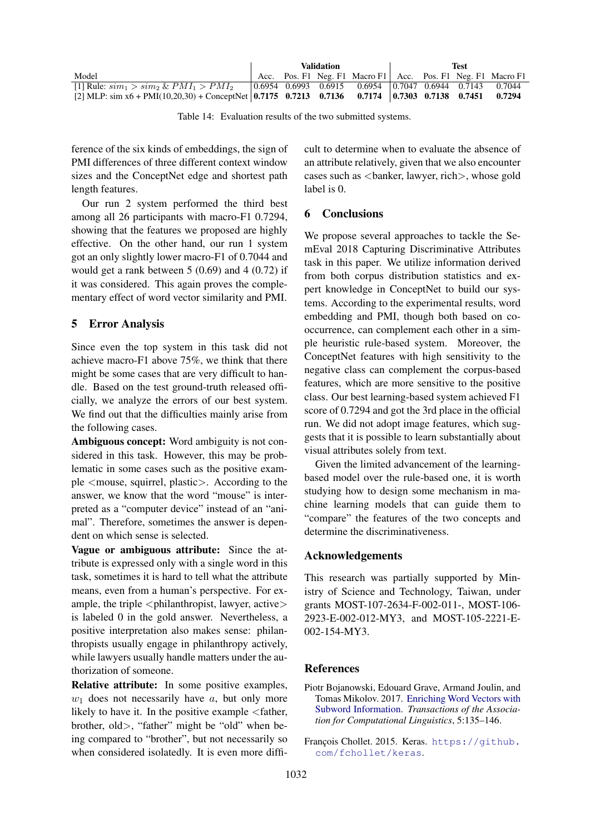|                                                                                                                     | Validation |  |  | Test                                                                                       |  |  |  |        |
|---------------------------------------------------------------------------------------------------------------------|------------|--|--|--------------------------------------------------------------------------------------------|--|--|--|--------|
| Model                                                                                                               |            |  |  | Acc. Pos. F1 Neg. F1 Macro F1 Acc. Pos. F1 Neg. F1 Macro F1                                |  |  |  |        |
| [1] Rule: $\sinh_1 > \sinh_2 \& PMI_1 > PMI_2$                                                                      |            |  |  | $\vert 0.6954 \; 0.6993 \; 0.6915 \; 0.6954 \; \vert 0.7047 \; 0.6944 \; 0.7143 \; 0.7044$ |  |  |  |        |
| [2] MLP: $\sin x6 + \text{PMI}(10,20,30) + \text{ConceptNet} \mid 0.7175$ 0.7213 0.7136 0.7174 0.7303 0.7138 0.7451 |            |  |  |                                                                                            |  |  |  | 0.7294 |

Table 14: Evaluation results of the two submitted systems.

ference of the six kinds of embeddings, the sign of PMI differences of three different context window sizes and the ConceptNet edge and shortest path length features.

Our run 2 system performed the third best among all 26 participants with macro-F1 0.7294, showing that the features we proposed are highly effective. On the other hand, our run 1 system got an only slightly lower macro-F1 of 0.7044 and would get a rank between 5 (0.69) and 4 (0.72) if it was considered. This again proves the complementary effect of word vector similarity and PMI.

## 5 Error Analysis

Since even the top system in this task did not achieve macro-F1 above 75%, we think that there might be some cases that are very difficult to handle. Based on the test ground-truth released officially, we analyze the errors of our best system. We find out that the difficulties mainly arise from the following cases.

Ambiguous concept: Word ambiguity is not considered in this task. However, this may be problematic in some cases such as the positive example <mouse, squirrel, plastic>. According to the answer, we know that the word "mouse" is interpreted as a "computer device" instead of an "animal". Therefore, sometimes the answer is dependent on which sense is selected.

Vague or ambiguous attribute: Since the attribute is expressed only with a single word in this task, sometimes it is hard to tell what the attribute means, even from a human's perspective. For example, the triple  $\langle$ philanthropist, lawyer, active $\rangle$ is labeled 0 in the gold answer. Nevertheless, a positive interpretation also makes sense: philanthropists usually engage in philanthropy actively, while lawyers usually handle matters under the authorization of someone.

Relative attribute: In some positive examples,  $w_1$  does not necessarily have a, but only more likely to have it. In the positive example <father, brother, old>, "father" might be "old" when being compared to "brother", but not necessarily so when considered isolatedly. It is even more diffi-

cult to determine when to evaluate the absence of an attribute relatively, given that we also encounter cases such as <banker, lawyer, rich>, whose gold label is 0.

# 6 Conclusions

We propose several approaches to tackle the SemEval 2018 Capturing Discriminative Attributes task in this paper. We utilize information derived from both corpus distribution statistics and expert knowledge in ConceptNet to build our systems. According to the experimental results, word embedding and PMI, though both based on cooccurrence, can complement each other in a simple heuristic rule-based system. Moreover, the ConceptNet features with high sensitivity to the negative class can complement the corpus-based features, which are more sensitive to the positive class. Our best learning-based system achieved F1 score of 0.7294 and got the 3rd place in the official run. We did not adopt image features, which suggests that it is possible to learn substantially about visual attributes solely from text.

Given the limited advancement of the learningbased model over the rule-based one, it is worth studying how to design some mechanism in machine learning models that can guide them to "compare" the features of the two concepts and determine the discriminativeness.

## Acknowledgements

This research was partially supported by Ministry of Science and Technology, Taiwan, under grants MOST-107-2634-F-002-011-, MOST-106- 2923-E-002-012-MY3, and MOST-105-2221-E-002-154-MY3.

# References

Piotr Bojanowski, Edouard Grave, Armand Joulin, and Tomas Mikolov. 2017. Enriching Word Vectors with Subword Information. *Transactions of the Association for Computational Linguistics*, 5:135–146.

François Chollet. 2015. Keras. https://github. com/fchollet/keras.